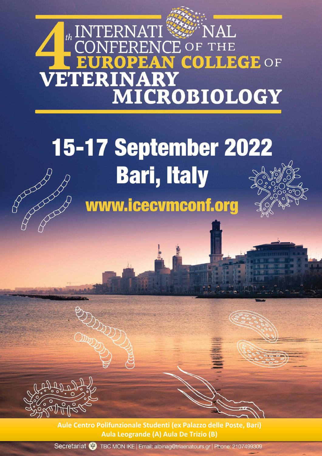## th INTERNATI<sup>ER</sup>NAL<br>CONFERENCE OF THE PEAN COLLEGE OF R **VETERINARY** MICROBIOLOGY

## **15-17 September 2022** Rochester Rochester **Bari, Italy** www.icecvmconf.org



**Aule Centro Polifunzionale Studenti (ex Palazzo delle Poste, Bari) Aula Leogrande (A) Aula De Trizio (B)**

Secretariat (V) TBC MON IKE | Email: albinag@triaenatours.gr | Phone: 2107499309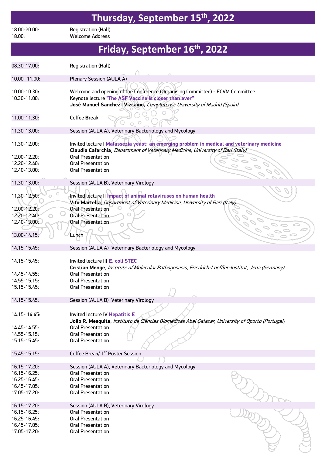| Thursday, September 15th, 2022                               |                                                                                                                                                                                                                                                      |  |
|--------------------------------------------------------------|------------------------------------------------------------------------------------------------------------------------------------------------------------------------------------------------------------------------------------------------------|--|
| 18.00-20.00:<br>18.00:                                       | Registration (Hall)<br><b>Welcome Address</b>                                                                                                                                                                                                        |  |
| Friday, September 16th, 2022                                 |                                                                                                                                                                                                                                                      |  |
| 08.30-17.00:                                                 | Registration (Hall)                                                                                                                                                                                                                                  |  |
| 10.00-11.00:                                                 | Plenary Session (AULA A)                                                                                                                                                                                                                             |  |
| 10.00-10.30:<br>10.30-11.00:                                 | Welcome and opening of the Conference (Organising Committee) - ECVM Committee<br>Keynote lecture "The ASF Vaccine is closer than ever"<br>José Manuel Sanchez- Vizcaino, Complutense University of Madrid (Spain)                                    |  |
| 11.00-11.30:                                                 | Coffee Break                                                                                                                                                                                                                                         |  |
| 11.30-13.00:                                                 | Session (AULA A), Veterinary Bacteriology and Mycology                                                                                                                                                                                               |  |
| 11.30-12.00:<br>12.00-12.20:<br>12.20-12.40:<br>12.40-13.00: | Invited lecture I Malassezia yeast: an emerging problem in medical and veterinary medicine<br>Claudia Cafarchia, Department of Veterinary Medicine, University of Bari (Italy)<br><b>Oral Presentation</b><br>Oral Presentation<br>Oral Presentation |  |
| 11.30-13.00:                                                 | Session (AULA B), Veterinary Virology                                                                                                                                                                                                                |  |
| 11,30-12.50:                                                 | Invited lecture II Impact of animal rotaviruses on human health<br>Vito Martella, Department of Veterinary Medicine, University of Bari (Italy)                                                                                                      |  |
| 12.00-12.20:<br>12.20-12.40:<br>O.                           | <b>Oral Presentation</b><br><b>Oral Presentation</b>                                                                                                                                                                                                 |  |
| 12.40-13.00:                                                 | <b>Oral Presentation</b>                                                                                                                                                                                                                             |  |
| 13.00-14.15:                                                 | Lunch                                                                                                                                                                                                                                                |  |
| 14.15-15.45:                                                 | Session (AULA A) Veterinary Bacteriology and Mycology                                                                                                                                                                                                |  |
| 14.15-15.45:                                                 | Invited lecture III E. coli STEC<br>Cristian Menge, Institute of Molecular Pathogenesis, Friedrich-Loeffler-Institut, Jena (Germany)                                                                                                                 |  |
| 14.45-14.55:<br>$14.55 - 15.15$ :                            | <b>Oral Presentation</b><br><b>Oral Presentation</b>                                                                                                                                                                                                 |  |
| 15.15-15.45:                                                 | <b>Oral Presentation</b>                                                                                                                                                                                                                             |  |
| 14.15-15.45:                                                 | Session (AULA B) Veterinary Virology                                                                                                                                                                                                                 |  |
| 14.15 - 14.45:                                               | Invited lecture IV Hepatitis E<br>João R. Mesquita, Instituto de Ciências Biomédicas Abel Salazar, University of Oporto (Portugal)                                                                                                                   |  |
| 14.45-14.55:                                                 | <b>Oral Presentation</b>                                                                                                                                                                                                                             |  |
| $14.55 - 15.15$<br>15.15-15.45:                              | <b>Oral Presentation</b><br><b>Oral Presentation</b>                                                                                                                                                                                                 |  |
| 15.45-15.15:                                                 | Coffee Break/ 1 <sup>st</sup> Poster Session                                                                                                                                                                                                         |  |
| 16.15-17.20:                                                 | Session (AULA A), Veterinary Bacteriology and Mycology                                                                                                                                                                                               |  |
| 16.15-16.25:                                                 | <b>Oral Presentation</b>                                                                                                                                                                                                                             |  |
| 16.25-16.45:                                                 | <b>Oral Presentation</b>                                                                                                                                                                                                                             |  |
| 16.45-17.05:                                                 | <b>Oral Presentation</b>                                                                                                                                                                                                                             |  |
| 17.05-17.20:                                                 | <b>Oral Presentation</b>                                                                                                                                                                                                                             |  |
| 16.15-17.20:                                                 | Session (AULA B), Veterinary Virology                                                                                                                                                                                                                |  |
| 16.15-16.25:                                                 | <b>Oral Presentation</b>                                                                                                                                                                                                                             |  |
| 16.25-16.45:<br>16.45-17.05:                                 | <b>Oral Presentation</b><br><b>Oral Presentation</b>                                                                                                                                                                                                 |  |
| 17.05-17.20:                                                 | <b>Oral Presentation</b>                                                                                                                                                                                                                             |  |

 $\beta$ 

 $\subset$